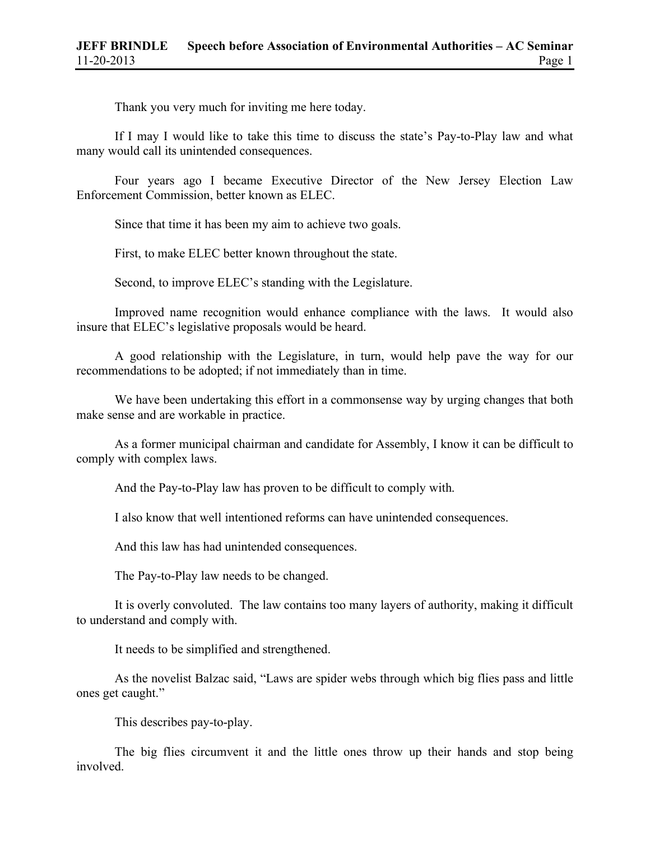Thank you very much for inviting me here today.

If I may I would like to take this time to discuss the state's Pay-to-Play law and what many would call its unintended consequences.

Four years ago I became Executive Director of the New Jersey Election Law Enforcement Commission, better known as ELEC.

Since that time it has been my aim to achieve two goals.

First, to make ELEC better known throughout the state.

Second, to improve ELEC's standing with the Legislature.

Improved name recognition would enhance compliance with the laws. It would also insure that ELEC's legislative proposals would be heard.

A good relationship with the Legislature, in turn, would help pave the way for our recommendations to be adopted; if not immediately than in time.

We have been undertaking this effort in a commonsense way by urging changes that both make sense and are workable in practice.

As a former municipal chairman and candidate for Assembly, I know it can be difficult to comply with complex laws.

And the Pay-to-Play law has proven to be difficult to comply with.

I also know that well intentioned reforms can have unintended consequences.

And this law has had unintended consequences.

The Pay-to-Play law needs to be changed.

It is overly convoluted. The law contains too many layers of authority, making it difficult to understand and comply with.

It needs to be simplified and strengthened.

As the novelist Balzac said, "Laws are spider webs through which big flies pass and little ones get caught."

This describes pay-to-play.

The big flies circumvent it and the little ones throw up their hands and stop being involved.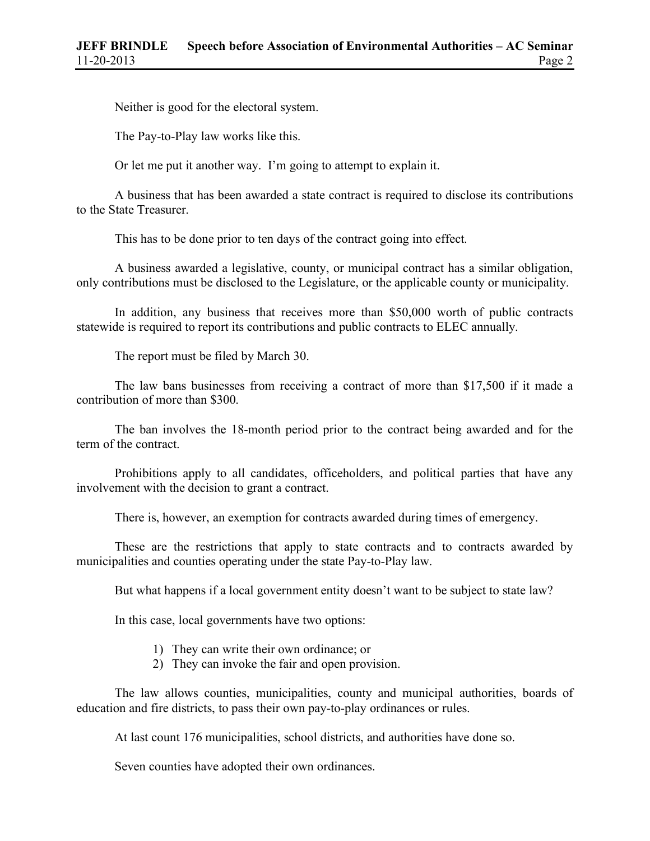Neither is good for the electoral system.

The Pay-to-Play law works like this.

Or let me put it another way. I'm going to attempt to explain it.

A business that has been awarded a state contract is required to disclose its contributions to the State Treasurer.

This has to be done prior to ten days of the contract going into effect.

A business awarded a legislative, county, or municipal contract has a similar obligation, only contributions must be disclosed to the Legislature, or the applicable county or municipality.

In addition, any business that receives more than \$50,000 worth of public contracts statewide is required to report its contributions and public contracts to ELEC annually.

The report must be filed by March 30.

The law bans businesses from receiving a contract of more than \$17,500 if it made a contribution of more than \$300.

The ban involves the 18-month period prior to the contract being awarded and for the term of the contract.

Prohibitions apply to all candidates, officeholders, and political parties that have any involvement with the decision to grant a contract.

There is, however, an exemption for contracts awarded during times of emergency.

These are the restrictions that apply to state contracts and to contracts awarded by municipalities and counties operating under the state Pay-to-Play law.

But what happens if a local government entity doesn't want to be subject to state law?

In this case, local governments have two options:

- 1) They can write their own ordinance; or
- 2) They can invoke the fair and open provision.

The law allows counties, municipalities, county and municipal authorities, boards of education and fire districts, to pass their own pay-to-play ordinances or rules.

At last count 176 municipalities, school districts, and authorities have done so.

Seven counties have adopted their own ordinances.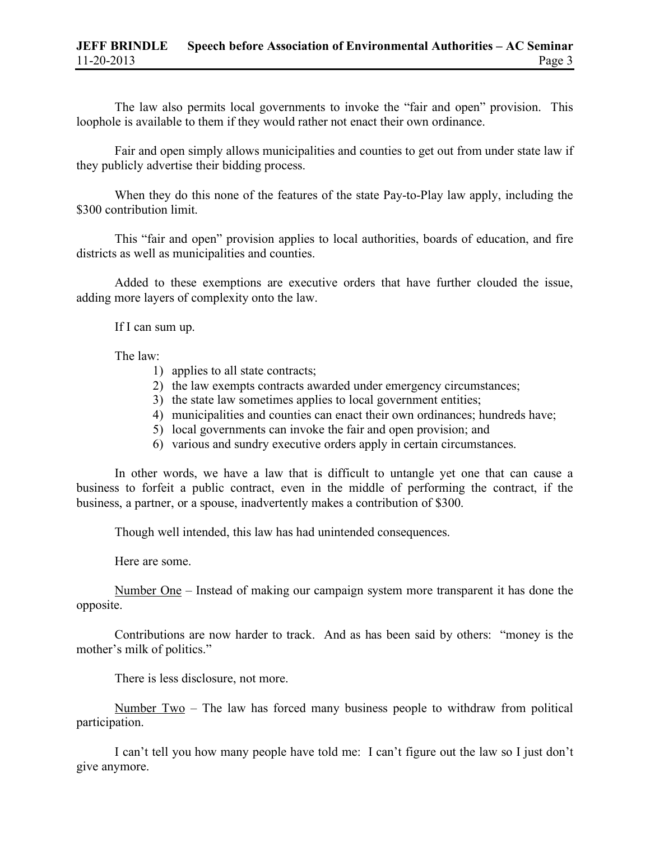The law also permits local governments to invoke the "fair and open" provision. This loophole is available to them if they would rather not enact their own ordinance.

Fair and open simply allows municipalities and counties to get out from under state law if they publicly advertise their bidding process.

When they do this none of the features of the state Pay-to-Play law apply, including the \$300 contribution limit.

This "fair and open" provision applies to local authorities, boards of education, and fire districts as well as municipalities and counties.

Added to these exemptions are executive orders that have further clouded the issue, adding more layers of complexity onto the law.

If I can sum up.

The law:

- 1) applies to all state contracts;
- 2) the law exempts contracts awarded under emergency circumstances;
- 3) the state law sometimes applies to local government entities;
- 4) municipalities and counties can enact their own ordinances; hundreds have;
- 5) local governments can invoke the fair and open provision; and
- 6) various and sundry executive orders apply in certain circumstances.

In other words, we have a law that is difficult to untangle yet one that can cause a business to forfeit a public contract, even in the middle of performing the contract, if the business, a partner, or a spouse, inadvertently makes a contribution of \$300.

Though well intended, this law has had unintended consequences.

Here are some.

Number One – Instead of making our campaign system more transparent it has done the opposite.

Contributions are now harder to track. And as has been said by others: "money is the mother's milk of politics."

There is less disclosure, not more.

Number Two – The law has forced many business people to withdraw from political participation.

I can't tell you how many people have told me: I can't figure out the law so I just don't give anymore.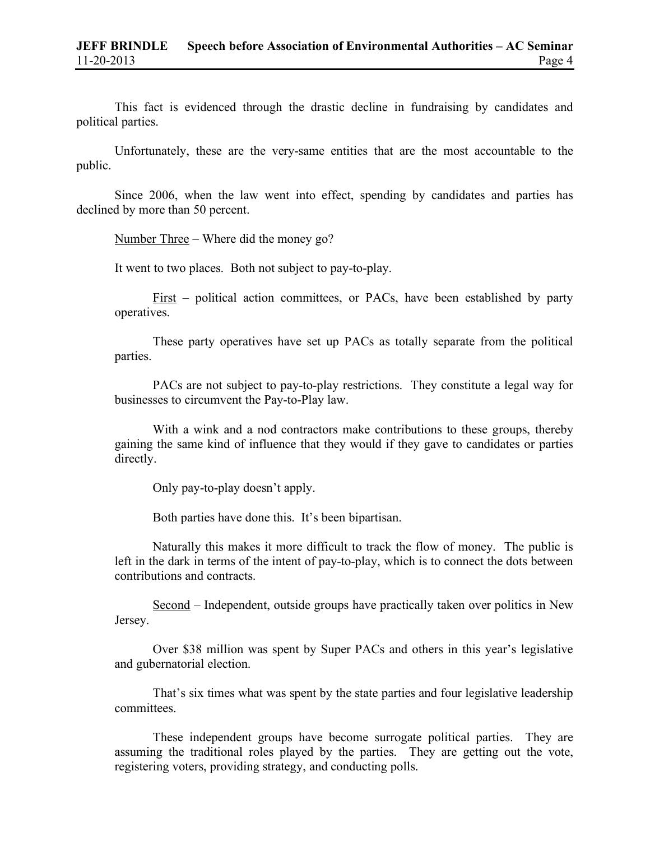This fact is evidenced through the drastic decline in fundraising by candidates and political parties.

Unfortunately, these are the very-same entities that are the most accountable to the public.

Since 2006, when the law went into effect, spending by candidates and parties has declined by more than 50 percent.

Number Three – Where did the money go?

It went to two places. Both not subject to pay-to-play.

First – political action committees, or PACs, have been established by party operatives.

These party operatives have set up PACs as totally separate from the political parties.

PACs are not subject to pay-to-play restrictions. They constitute a legal way for businesses to circumvent the Pay-to-Play law.

With a wink and a nod contractors make contributions to these groups, thereby gaining the same kind of influence that they would if they gave to candidates or parties directly.

Only pay-to-play doesn't apply.

Both parties have done this. It's been bipartisan.

Naturally this makes it more difficult to track the flow of money. The public is left in the dark in terms of the intent of pay-to-play, which is to connect the dots between contributions and contracts.

Second – Independent, outside groups have practically taken over politics in New Jersey.

Over \$38 million was spent by Super PACs and others in this year's legislative and gubernatorial election.

That's six times what was spent by the state parties and four legislative leadership committees.

These independent groups have become surrogate political parties. They are assuming the traditional roles played by the parties. They are getting out the vote, registering voters, providing strategy, and conducting polls.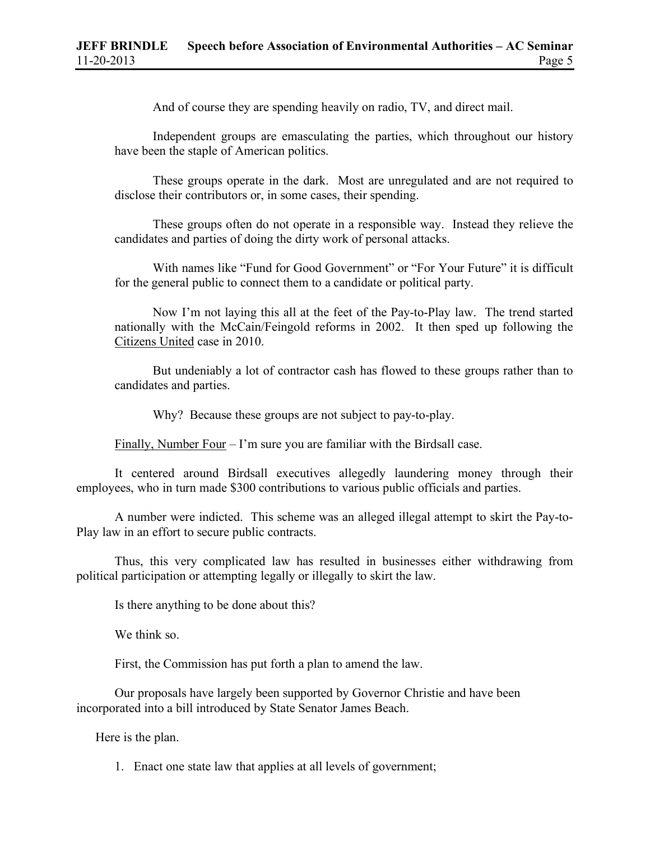And of course they are spending heavily on radio, TV, and direct mail.

Independent groups are emasculating the parties, which throughout our history have been the staple of American politics.

These groups operate in the dark. Most are unregulated and are not required to disclose their contributors or, in some cases, their spending.

These groups often do not operate in a responsible way. Instead they relieve the candidates and parties of doing the dirty work of personal attacks.

With names like "Fund for Good Government" or "For Your Future" it is difficult for the general public to connect them to a candidate or political party.

Now I'm not laying this all at the feet of the Pay-to-Play law. The trend started nationally with the McCain/Feingold reforms in 2002. It then sped up following the Citizens United case in 2010.

But undeniably a lot of contractor cash has flowed to these groups rather than to candidates and parties.

Why? Because these groups are not subject to pay-to-play.

Finally, Number Four – I'm sure you are familiar with the Birdsall case.

It centered around Birdsall executives allegedly laundering money through their employees, who in turn made \$300 contributions to various public officials and parties.

A number were indicted. This scheme was an alleged illegal attempt to skirt the Pay-to-Play law in an effort to secure public contracts.

Thus, this very complicated law has resulted in businesses either withdrawing from political participation or attempting legally or illegally to skirt the law.

Is there anything to be done about this?

We think so.

First, the Commission has put forth a plan to amend the law.

Our proposals have largely been supported by Governor Christie and have been incorporated into a bill introduced by State Senator James Beach.

Here is the plan.

1. Enact one state law that applies at all levels of government;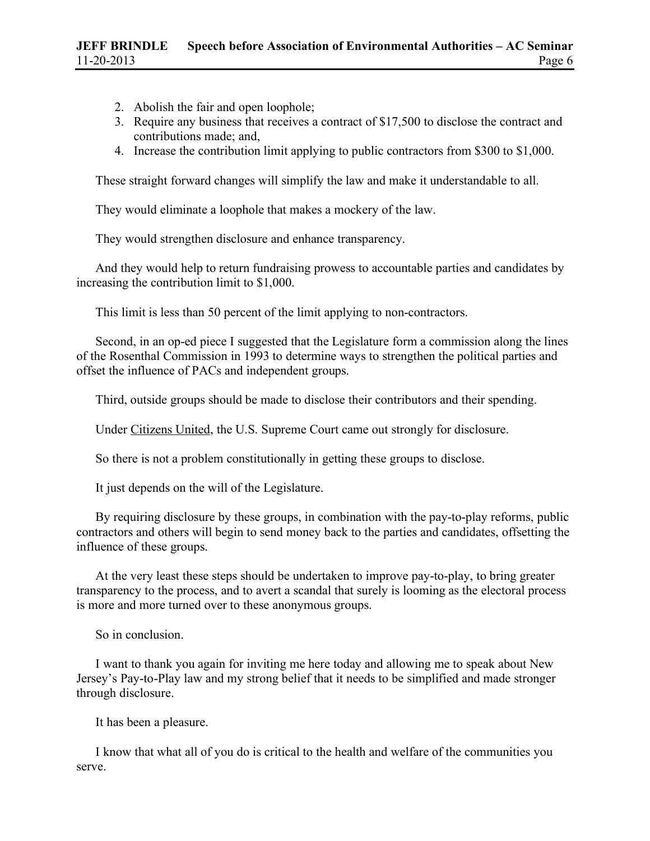- 2. Abolish the fair and open loophole;
- 3. Require any business that receives a contract of \$17,500 to disclose the contract and contributions made; and,
- 4. Increase the contribution limit applying to public contractors from \$300 to \$1,000.

These straight forward changes will simplify the law and make it understandable to all.

They would eliminate a loophole that makes a mockery of the law.

They would strengthen disclosure and enhance transparency.

And they would help to return fundraising prowess to accountable parties and candidates by increasing the contribution limit to \$1,000.

This limit is less than 50 percent of the limit applying to non-contractors.

Second, in an op-ed piece I suggested that the Legislature form a commission along the lines of the Rosenthal Commission in 1993 to determine ways to strengthen the political parties and offset the influence of PACs and independent groups.

Third, outside groups should be made to disclose their contributors and their spending.

Under Citizens United, the U.S. Supreme Court came out strongly for disclosure.

So there is not a problem constitutionally in getting these groups to disclose.

It just depends on the will of the Legislature.

By requiring disclosure by these groups, in combination with the pay-to-play reforms, public contractors and others will begin to send money back to the parties and candidates, offsetting the influence of these groups.

At the very least these steps should be undertaken to improve pay-to-play, to bring greater transparency to the process, and to avert a scandal that surely is looming as the electoral process is more and more turned over to these anonymous groups.

So in conclusion.

I want to thank you again for inviting me here today and allowing me to speak about New Jersey's Pay-to-Play law and my strong belief that it needs to be simplified and made stronger through disclosure.

It has been a pleasure.

I know that what all of you do is critical to the health and welfare of the communities you serve.